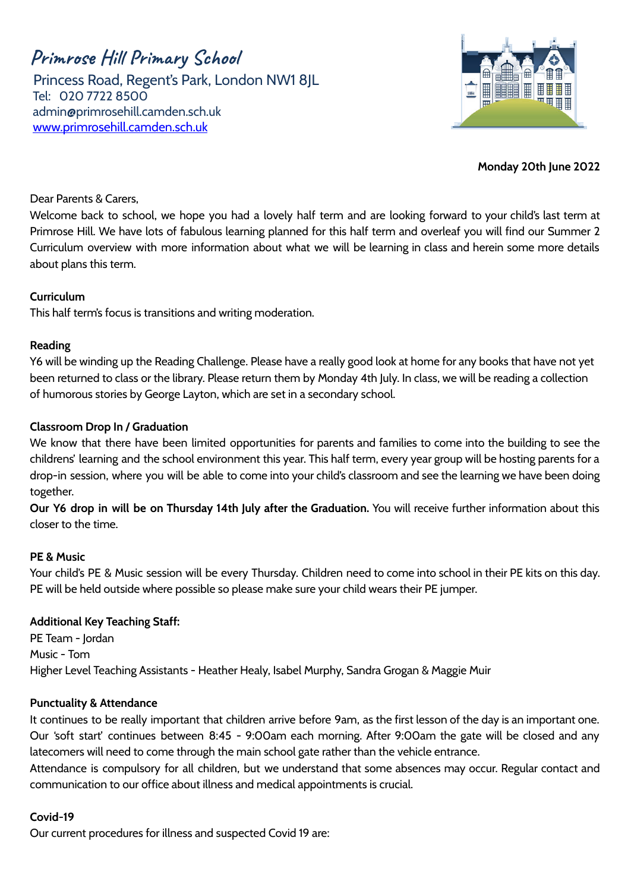**Primrose Hill Primary School** Princess Road, Regent's Park, London NW1 8JL Tel: 020 7722 8500 [admin@primrosehill.camden.sch.uk](mailto:admin@primrosehill.camden.sch.uk) [www.primrosehill.camden.sch.uk](http://www.primrosehill.camden.sch.uk)



**Monday 20th June 2022**

## Dear Parents & Carers,

Welcome back to school, we hope you had a lovely half term and are looking forward to your child's last term at Primrose Hill. We have lots of fabulous learning planned for this half term and overleaf you will find our Summer 2 Curriculum overview with more information about what we will be learning in class and herein some more details about plans this term.

## **Curriculum**

This half term's focus is transitions and writing moderation.

## **Reading**

Y6 will be winding up the Reading Challenge. Please have a really good look at home for any books that have not yet been returned to class or the library. Please return them by Monday 4th July. In class, we will be reading a collection of humorous stories by George Layton, which are set in a secondary school.

## **Classroom Drop In / Graduation**

We know that there have been limited opportunities for parents and families to come into the building to see the childrens' learning and the school environment this year. This half term, every year group will be hosting parents for a drop-in session, where you will be able to come into your child's classroom and see the learning we have been doing together.

**Our Y6 drop in will be on Thursday 14th July after the Graduation.** You will receive further information about this closer to the time.

#### **PE & Music**

Your child's PE & Music session will be every Thursday. Children need to come into school in their PE kits on this day. PE will be held outside where possible so please make sure your child wears their PE jumper.

#### **Additional Key Teaching Staff:**

PE Team - Iordan Music - Tom Higher Level Teaching Assistants - Heather Healy, Isabel Murphy, Sandra Grogan & Maggie Muir

#### **Punctuality & Attendance**

It continues to be really important that children arrive before 9am, as the first lesson of the day is an important one. Our 'soft start' continues between 8:45 - 9:00am each morning. After 9:00am the gate will be closed and any latecomers will need to come through the main school gate rather than the vehicle entrance.

Attendance is compulsory for all children, but we understand that some absences may occur. Regular contact and communication to our office about illness and medical appointments is crucial.

#### **Covid-19**

Our current procedures for illness and suspected Covid 19 are: